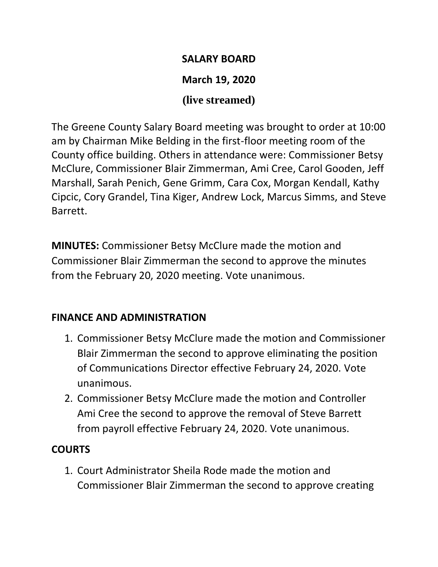#### **SALARY BOARD**

## **March 19, 2020**

## **(live streamed)**

The Greene County Salary Board meeting was brought to order at 10:00 am by Chairman Mike Belding in the first-floor meeting room of the County office building. Others in attendance were: Commissioner Betsy McClure, Commissioner Blair Zimmerman, Ami Cree, Carol Gooden, Jeff Marshall, Sarah Penich, Gene Grimm, Cara Cox, Morgan Kendall, Kathy Cipcic, Cory Grandel, Tina Kiger, Andrew Lock, Marcus Simms, and Steve Barrett.

**MINUTES:** Commissioner Betsy McClure made the motion and Commissioner Blair Zimmerman the second to approve the minutes from the February 20, 2020 meeting. Vote unanimous.

## **FINANCE AND ADMINISTRATION**

- 1. Commissioner Betsy McClure made the motion and Commissioner Blair Zimmerman the second to approve eliminating the position of Communications Director effective February 24, 2020. Vote unanimous.
- 2. Commissioner Betsy McClure made the motion and Controller Ami Cree the second to approve the removal of Steve Barrett from payroll effective February 24, 2020. Vote unanimous.

# **COURTS**

1. Court Administrator Sheila Rode made the motion and Commissioner Blair Zimmerman the second to approve creating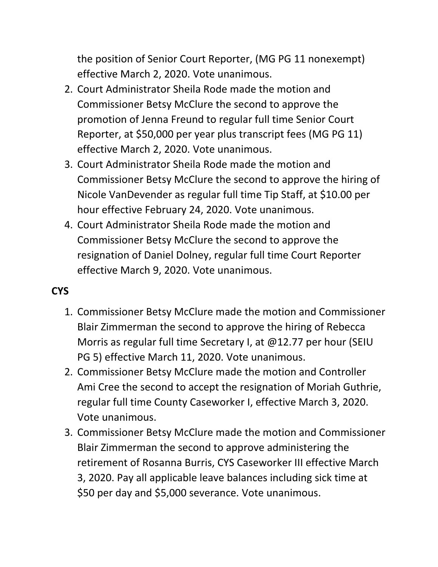the position of Senior Court Reporter, (MG PG 11 nonexempt) effective March 2, 2020. Vote unanimous.

- 2. Court Administrator Sheila Rode made the motion and Commissioner Betsy McClure the second to approve the promotion of Jenna Freund to regular full time Senior Court Reporter, at \$50,000 per year plus transcript fees (MG PG 11) effective March 2, 2020. Vote unanimous.
- 3. Court Administrator Sheila Rode made the motion and Commissioner Betsy McClure the second to approve the hiring of Nicole VanDevender as regular full time Tip Staff, at \$10.00 per hour effective February 24, 2020. Vote unanimous.
- 4. Court Administrator Sheila Rode made the motion and Commissioner Betsy McClure the second to approve the resignation of Daniel Dolney, regular full time Court Reporter effective March 9, 2020. Vote unanimous.

## **CYS**

- 1. Commissioner Betsy McClure made the motion and Commissioner Blair Zimmerman the second to approve the hiring of Rebecca Morris as regular full time Secretary I, at @12.77 per hour (SEIU PG 5) effective March 11, 2020. Vote unanimous.
- 2. Commissioner Betsy McClure made the motion and Controller Ami Cree the second to accept the resignation of Moriah Guthrie, regular full time County Caseworker I, effective March 3, 2020. Vote unanimous.
- 3. Commissioner Betsy McClure made the motion and Commissioner Blair Zimmerman the second to approve administering the retirement of Rosanna Burris, CYS Caseworker III effective March 3, 2020. Pay all applicable leave balances including sick time at \$50 per day and \$5,000 severance. Vote unanimous.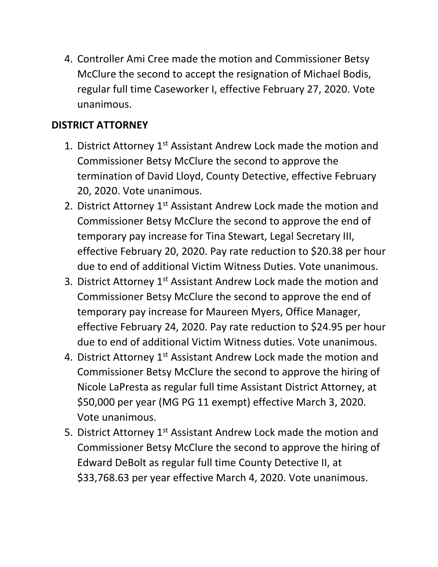4. Controller Ami Cree made the motion and Commissioner Betsy McClure the second to accept the resignation of Michael Bodis, regular full time Caseworker I, effective February 27, 2020. Vote unanimous.

## **DISTRICT ATTORNEY**

- 1. District Attorney 1<sup>st</sup> Assistant Andrew Lock made the motion and Commissioner Betsy McClure the second to approve the termination of David Lloyd, County Detective, effective February 20, 2020. Vote unanimous.
- 2. District Attorney 1<sup>st</sup> Assistant Andrew Lock made the motion and Commissioner Betsy McClure the second to approve the end of temporary pay increase for Tina Stewart, Legal Secretary III, effective February 20, 2020. Pay rate reduction to \$20.38 per hour due to end of additional Victim Witness Duties. Vote unanimous.
- 3. District Attorney 1<sup>st</sup> Assistant Andrew Lock made the motion and Commissioner Betsy McClure the second to approve the end of temporary pay increase for Maureen Myers, Office Manager, effective February 24, 2020. Pay rate reduction to \$24.95 per hour due to end of additional Victim Witness duties. Vote unanimous.
- 4. District Attorney 1<sup>st</sup> Assistant Andrew Lock made the motion and Commissioner Betsy McClure the second to approve the hiring of Nicole LaPresta as regular full time Assistant District Attorney, at \$50,000 per year (MG PG 11 exempt) effective March 3, 2020. Vote unanimous.
- 5. District Attorney 1<sup>st</sup> Assistant Andrew Lock made the motion and Commissioner Betsy McClure the second to approve the hiring of Edward DeBolt as regular full time County Detective II, at \$33,768.63 per year effective March 4, 2020. Vote unanimous.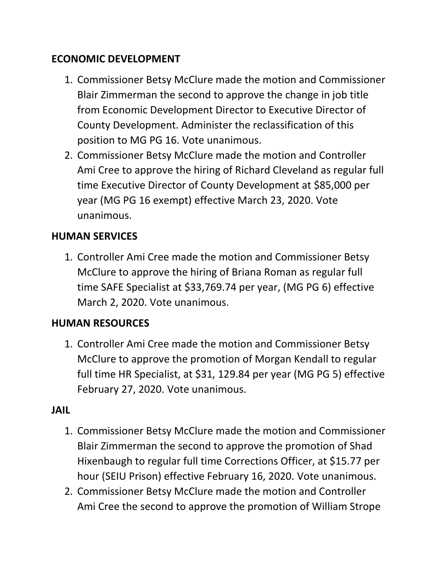## **ECONOMIC DEVELOPMENT**

- 1. Commissioner Betsy McClure made the motion and Commissioner Blair Zimmerman the second to approve the change in job title from Economic Development Director to Executive Director of County Development. Administer the reclassification of this position to MG PG 16. Vote unanimous.
- 2. Commissioner Betsy McClure made the motion and Controller Ami Cree to approve the hiring of Richard Cleveland as regular full time Executive Director of County Development at \$85,000 per year (MG PG 16 exempt) effective March 23, 2020. Vote unanimous.

## **HUMAN SERVICES**

1. Controller Ami Cree made the motion and Commissioner Betsy McClure to approve the hiring of Briana Roman as regular full time SAFE Specialist at \$33,769.74 per year, (MG PG 6) effective March 2, 2020. Vote unanimous.

## **HUMAN RESOURCES**

1. Controller Ami Cree made the motion and Commissioner Betsy McClure to approve the promotion of Morgan Kendall to regular full time HR Specialist, at \$31, 129.84 per year (MG PG 5) effective February 27, 2020. Vote unanimous.

### **JAIL**

- 1. Commissioner Betsy McClure made the motion and Commissioner Blair Zimmerman the second to approve the promotion of Shad Hixenbaugh to regular full time Corrections Officer, at \$15.77 per hour (SEIU Prison) effective February 16, 2020. Vote unanimous.
- 2. Commissioner Betsy McClure made the motion and Controller Ami Cree the second to approve the promotion of William Strope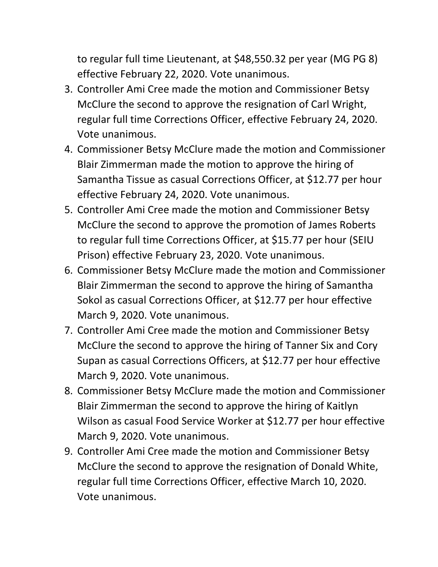to regular full time Lieutenant, at \$48,550.32 per year (MG PG 8) effective February 22, 2020. Vote unanimous.

- 3. Controller Ami Cree made the motion and Commissioner Betsy McClure the second to approve the resignation of Carl Wright, regular full time Corrections Officer, effective February 24, 2020. Vote unanimous.
- 4. Commissioner Betsy McClure made the motion and Commissioner Blair Zimmerman made the motion to approve the hiring of Samantha Tissue as casual Corrections Officer, at \$12.77 per hour effective February 24, 2020. Vote unanimous.
- 5. Controller Ami Cree made the motion and Commissioner Betsy McClure the second to approve the promotion of James Roberts to regular full time Corrections Officer, at \$15.77 per hour (SEIU Prison) effective February 23, 2020. Vote unanimous.
- 6. Commissioner Betsy McClure made the motion and Commissioner Blair Zimmerman the second to approve the hiring of Samantha Sokol as casual Corrections Officer, at \$12.77 per hour effective March 9, 2020. Vote unanimous.
- 7. Controller Ami Cree made the motion and Commissioner Betsy McClure the second to approve the hiring of Tanner Six and Cory Supan as casual Corrections Officers, at \$12.77 per hour effective March 9, 2020. Vote unanimous.
- 8. Commissioner Betsy McClure made the motion and Commissioner Blair Zimmerman the second to approve the hiring of Kaitlyn Wilson as casual Food Service Worker at \$12.77 per hour effective March 9, 2020. Vote unanimous.
- 9. Controller Ami Cree made the motion and Commissioner Betsy McClure the second to approve the resignation of Donald White, regular full time Corrections Officer, effective March 10, 2020. Vote unanimous.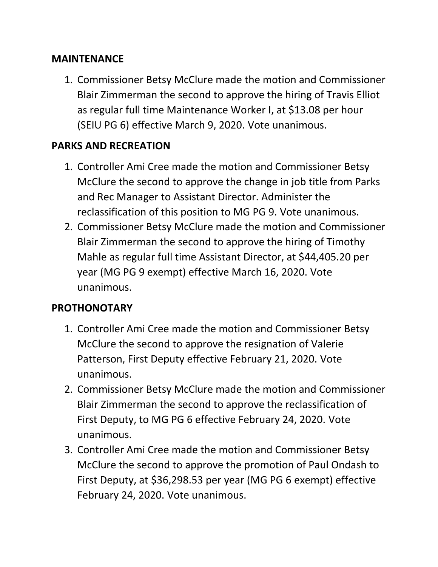#### **MAINTENANCE**

1. Commissioner Betsy McClure made the motion and Commissioner Blair Zimmerman the second to approve the hiring of Travis Elliot as regular full time Maintenance Worker I, at \$13.08 per hour (SEIU PG 6) effective March 9, 2020. Vote unanimous.

#### **PARKS AND RECREATION**

- 1. Controller Ami Cree made the motion and Commissioner Betsy McClure the second to approve the change in job title from Parks and Rec Manager to Assistant Director. Administer the reclassification of this position to MG PG 9. Vote unanimous.
- 2. Commissioner Betsy McClure made the motion and Commissioner Blair Zimmerman the second to approve the hiring of Timothy Mahle as regular full time Assistant Director, at \$44,405.20 per year (MG PG 9 exempt) effective March 16, 2020. Vote unanimous.

#### **PROTHONOTARY**

- 1. Controller Ami Cree made the motion and Commissioner Betsy McClure the second to approve the resignation of Valerie Patterson, First Deputy effective February 21, 2020. Vote unanimous.
- 2. Commissioner Betsy McClure made the motion and Commissioner Blair Zimmerman the second to approve the reclassification of First Deputy, to MG PG 6 effective February 24, 2020. Vote unanimous.
- 3. Controller Ami Cree made the motion and Commissioner Betsy McClure the second to approve the promotion of Paul Ondash to First Deputy, at \$36,298.53 per year (MG PG 6 exempt) effective February 24, 2020. Vote unanimous.